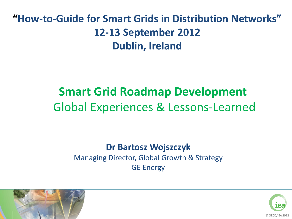**"How-to-Guide for Smart Grids in Distribution Networks" 12-13 September 2012 Dublin, Ireland**

### **Smart Grid Roadmap Development**  Global Experiences & Lessons-Learned

#### **Dr Bartosz Wojszczyk**

Managing Director, Global Growth & Strategy GE Energy



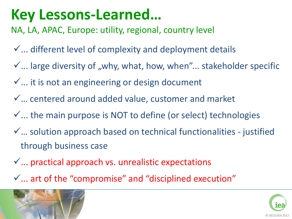NA, LA, APAC, Europe: utility, regional, country level

- $\checkmark$  ... different level of complexity and deployment details
- $\checkmark$  ... large diversity of "why, what, how, when"... stakeholder specific
- $\checkmark$  ... it is not an engineering or design document
- … centered around added value, customer and market
- $\checkmark$ ... the main purpose is NOT to define (or select) technologies
- … solution approach based on technical functionalities justified through business case
- $\checkmark$  ... practical approach vs. unrealistic expectations
- $\checkmark$  ... art of the "compromise" and "disciplined execution"



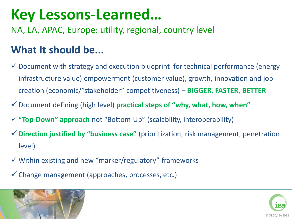NA, LA, APAC, Europe: utility, regional, country level

#### **What It should be...**

- $\checkmark$  Document with strategy and execution blueprint for technical performance (energy infrastructure value) empowerment (customer value), growth, innovation and job creation (economic/"stakeholder" competitiveness) – **BIGGER, FASTER, BETTER**
- Document defining (high level) **practical steps of "why, what, how, when"**
- **"Top-Down" approach** not "Bottom-Up" (scalability, interoperability)
- **Direction justified by "business case"** (prioritization, risk management, penetration level)
- $\checkmark$  Within existing and new "marker/regulatory" frameworks
- $\checkmark$  Change management (approaches, processes, etc.)



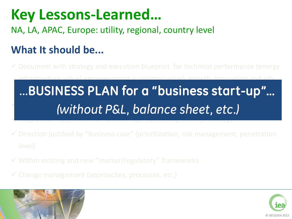NA, LA, APAC, Europe: utility, regional, country level

### **What It should be...**

 $\checkmark$  Document with strategy and execution blueprint for technical performance (energy ...BUSINESS PLAN for a "business start-up"... Document defining (high level) practical steps of "why, what, how, when" *(without P&L, balance sheet, etc.)*

 $\checkmark$  Direction justified by "business case" (prioritization, risk management, penetration

approach not "bottom-Up" (scalability, interoperability)

- $\checkmark$  Within existing and new "marker/regulatory" frameworks
- $\checkmark$  Change management (approaches, processes, etc.)